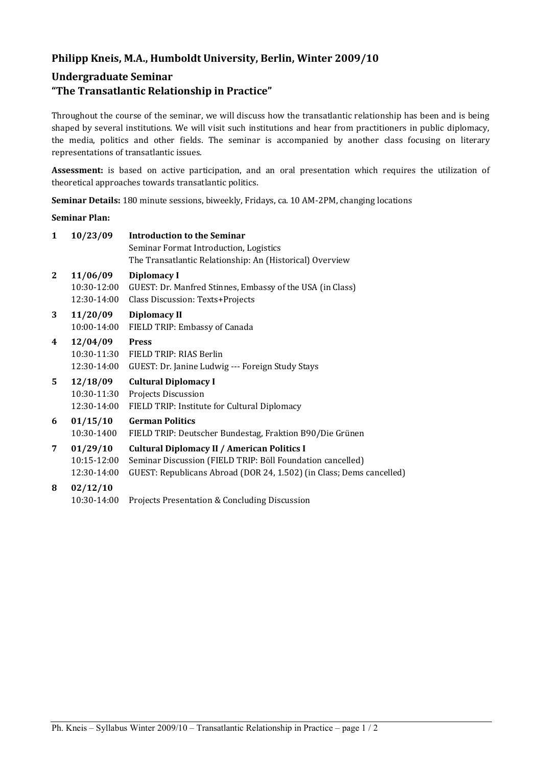## **Philipp Kneis, M.A., Humboldt University, Berlin, Winter 2009/10**

# **Undergraduate Seminar**

## **"The Transatlantic Relationship in Practice"**

Throughout the course of the seminar, we will discuss how the transatlantic relationship has been and is being shaped by several institutions. We will visit such institutions and hear from practitioners in public diplomacy, the media, politics and other fields. The seminar is accompanied by another class focusing on literary representations of transatlantic issues.

**Assessment:** is based on active participation, and an oral presentation which requires the utilization of theoretical approaches towards transatlantic politics.

**Seminar Details:** 180 minute sessions, biweekly, Fridays, ca. 10 AM-2PM, changing locations

#### **Seminar Plan:**

| 1            | 10/23/09    | <b>Introduction to the Seminar</b>                                   |
|--------------|-------------|----------------------------------------------------------------------|
|              |             | Seminar Format Introduction, Logistics                               |
|              |             | The Transatlantic Relationship: An (Historical) Overview             |
| $\mathbf{2}$ | 11/06/09    | <b>Diplomacy I</b>                                                   |
|              | 10:30-12:00 | GUEST: Dr. Manfred Stinnes, Embassy of the USA (in Class)            |
|              | 12:30-14:00 | Class Discussion: Texts+Projects                                     |
| 3            | 11/20/09    | <b>Diplomacy II</b>                                                  |
|              | 10:00-14:00 | FIELD TRIP: Embassy of Canada                                        |
| 4            | 12/04/09    | <b>Press</b>                                                         |
|              |             | 10:30-11:30 FIELD TRIP: RIAS Berlin                                  |
|              | 12:30-14:00 | GUEST: Dr. Janine Ludwig --- Foreign Study Stays                     |
| 5.           | 12/18/09    | <b>Cultural Diplomacy I</b>                                          |
|              | 10:30-11:30 | Projects Discussion                                                  |
|              | 12:30-14:00 | FIELD TRIP: Institute for Cultural Diplomacy                         |
| 6            | 01/15/10    | <b>German Politics</b>                                               |
|              | 10:30-1400  | FIELD TRIP: Deutscher Bundestag, Fraktion B90/Die Grünen             |
| 7            | 01/29/10    | <b>Cultural Diplomacy II / American Politics I</b>                   |
|              | 10:15-12:00 | Seminar Discussion (FIELD TRIP: Böll Foundation cancelled)           |
|              | 12:30-14:00 | GUEST: Republicans Abroad (DOR 24, 1.502) (in Class; Dems cancelled) |
| 8            | 02/12/10    |                                                                      |
|              | 10:30-14:00 | Projects Presentation & Concluding Discussion                        |